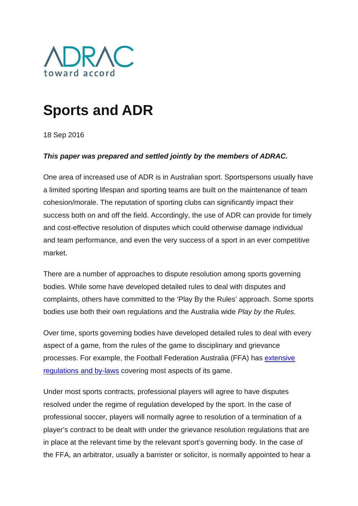

## **Sports and ADR**

18 Sep 2016

## *This paper was prepared and settled jointly by the members of ADRAC.*

One area of increased use of ADR is in Australian sport. Sportspersons usually have a limited sporting lifespan and sporting teams are built on the maintenance of team cohesion/morale. The reputation of sporting clubs can significantly impact their success both on and off the field. Accordingly, the use of ADR can provide for timely and cost-effective resolution of disputes which could otherwise damage individual and team performance, and even the very success of a sport in an ever competitive market.

There are a number of approaches to dispute resolution among sports governing bodies. While some have developed detailed rules to deal with disputes and complaints, others have committed to the 'Play By the Rules' approach. Some sports bodies use both their own regulations and the Australia wide *Play by the Rules*.

Over time, sports governing bodies have developed detailed rules to deal with every aspect of a game, from the rules of the game to disciplinary and grievance processes. For example, the Football Federation Australia (FFA) has [extensive](http://www.footballaustralia.com.au/about/statutes-and-regulations/v8ny0w805ua61q3r7u1yowg2v)  [regulations and by-laws](http://www.footballaustralia.com.au/about/statutes-and-regulations/v8ny0w805ua61q3r7u1yowg2v) covering most aspects of its game.

Under most sports contracts, professional players will agree to have disputes resolved under the regime of regulation developed by the sport. In the case of professional soccer, players will normally agree to resolution of a termination of a player's contract to be dealt with under the grievance resolution regulations that are in place at the relevant time by the relevant sport's governing body. In the case of the FFA, an arbitrator, usually a barrister or solicitor, is normally appointed to hear a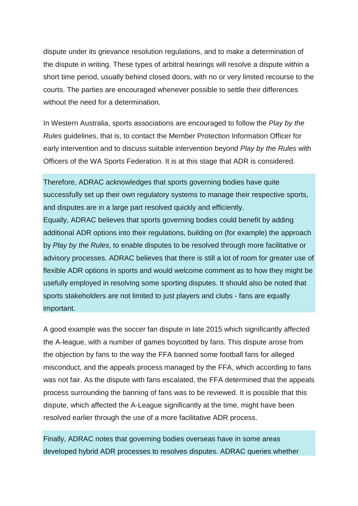dispute under its grievance resolution regulations, and to make a determination of the dispute in writing. These types of arbitral hearings will resolve a dispute within a short time period, usually behind closed doors, with no or very limited recourse to the courts. The parties are encouraged whenever possible to settle their differences without the need for a determination.

In Western Australia, sports associations are encouraged to follow the *Play by the Rules* guidelines, that is, to contact the Member Protection Information Officer for early intervention and to discuss suitable intervention beyond *Play by the Rules* with Officers of the WA Sports Federation. It is at this stage that ADR is considered.

Therefore, ADRAC acknowledges that sports governing bodies have quite successfully set up their own regulatory systems to manage their respective sports, and disputes are in a large part resolved quickly and efficiently. Equally, ADRAC believes that sports governing bodies could benefit by adding additional ADR options into their regulations, building on (for example) the approach by *Play by the Rules*, to enable disputes to be resolved through more facilitative or advisory processes. ADRAC believes that there is still a lot of room for greater use of flexible ADR options in sports and would welcome comment as to how they might be usefully employed in resolving some sporting disputes. It should also be noted that sports stakeholders are not limited to just players and clubs - fans are equally important.

A good example was the soccer fan dispute in late 2015 which significantly affected the A-league, with a number of games boycotted by fans. This dispute arose from the objection by fans to the way the FFA banned some football fans for alleged misconduct, and the appeals process managed by the FFA, which according to fans was not fair. As the dispute with fans escalated, the FFA determined that the appeals process surrounding the banning of fans was to be reviewed. It is possible that this dispute, which affected the A-League significantly at the time, might have been resolved earlier through the use of a more facilitative ADR process.

Finally, ADRAC notes that governing bodies overseas have in some areas developed hybrid ADR processes to resolves disputes. ADRAC queries whether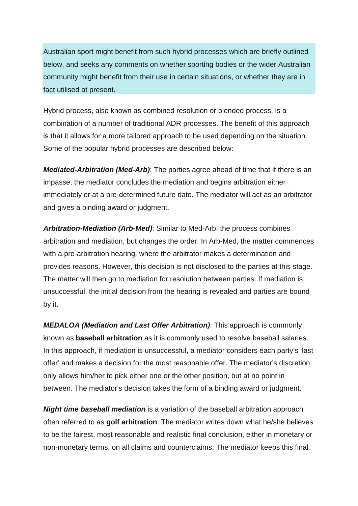Australian sport might benefit from such hybrid processes which are briefly outlined below, and seeks any comments on whether sporting bodies or the wider Australian community might benefit from their use in certain situations, or whether they are in fact utilised at present.

Hybrid process, also known as combined resolution or blended process, is a combination of a number of traditional ADR processes. The benefit of this approach is that it allows for a more tailored approach to be used depending on the situation. Some of the popular hybrid processes are described below:

*Mediated-Arbitration (Med-Arb)*: The parties agree ahead of time that if there is an impasse, the mediator concludes the mediation and begins arbitration either immediately or at a pre-determined future date. The mediator will act as an arbitrator and gives a binding award or judgment.

*Arbitration-Mediation (Arb-Med)*: Similar to Med-Arb, the process combines arbitration and mediation, but changes the order. In Arb-Med, the matter commences with a pre-arbitration hearing, where the arbitrator makes a determination and provides reasons. However, this decision is not disclosed to the parties at this stage. The matter will then go to mediation for resolution between parties. If mediation is unsuccessful, the initial decision from the hearing is revealed and parties are bound by it.

*MEDALOA (Mediation and Last Offer Arbitration)*: This approach is commonly known as **baseball arbitration** as it is commonly used to resolve baseball salaries. In this approach, if mediation is unsuccessful, a mediator considers each party's 'last offer' and makes a decision for the most reasonable offer. The mediator's discretion only allows him/her to pick either one or the other position, but at no point in between. The mediator's decision takes the form of a binding award or judgment.

*Night time baseball mediation* is a variation of the baseball arbitration approach often referred to as **golf arbitration**. The mediator writes down what he/she believes to be the fairest, most reasonable and realistic final conclusion, either in monetary or non-monetary terms, on all claims and counterclaims. The mediator keeps this final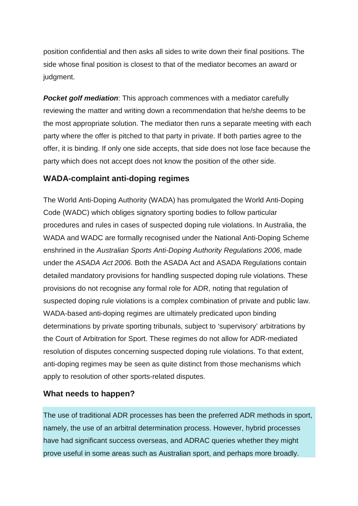position confidential and then asks all sides to write down their final positions. The side whose final position is closest to that of the mediator becomes an award or judgment.

*Pocket golf mediation*: This approach commences with a mediator carefully reviewing the matter and writing down a recommendation that he/she deems to be the most appropriate solution. The mediator then runs a separate meeting with each party where the offer is pitched to that party in private. If both parties agree to the offer, it is binding. If only one side accepts, that side does not lose face because the party which does not accept does not know the position of the other side.

## **WADA-complaint anti-doping regimes**

The World Anti-Doping Authority (WADA) has promulgated the World Anti-Doping Code (WADC) which obliges signatory sporting bodies to follow particular procedures and rules in cases of suspected doping rule violations. In Australia, the WADA and WADC are formally recognised under the National Anti-Doping Scheme enshrined in the *Australian Sports Anti-Doping Authority Regulations 2006*, made under the *ASADA Act 2006*. Both the ASADA Act and ASADA Regulations contain detailed mandatory provisions for handling suspected doping rule violations. These provisions do not recognise any formal role for ADR, noting that regulation of suspected doping rule violations is a complex combination of private and public law. WADA-based anti-doping regimes are ultimately predicated upon binding determinations by private sporting tribunals, subject to 'supervisory' arbitrations by the Court of Arbitration for Sport. These regimes do not allow for ADR-mediated resolution of disputes concerning suspected doping rule violations. To that extent, anti-doping regimes may be seen as quite distinct from those mechanisms which apply to resolution of other sports-related disputes.

## **What needs to happen?**

The use of traditional ADR processes has been the preferred ADR methods in sport, namely, the use of an arbitral determination process. However, hybrid processes have had significant success overseas, and ADRAC queries whether they might prove useful in some areas such as Australian sport, and perhaps more broadly.